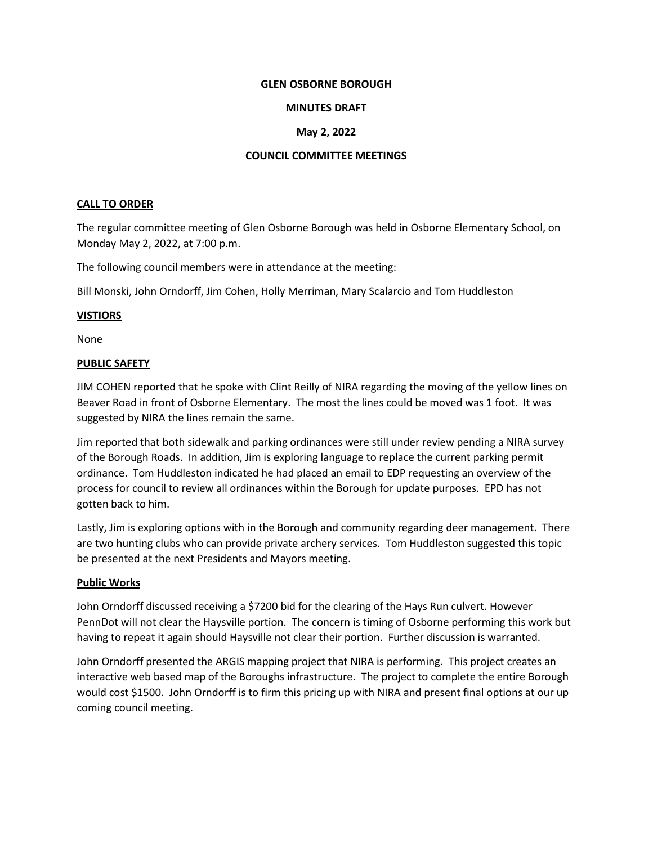### **GLEN OSBORNE BOROUGH**

### **MINUTES DRAFT**

# **May 2, 2022**

### **COUNCIL COMMITTEE MEETINGS**

### **CALL TO ORDER**

The regular committee meeting of Glen Osborne Borough was held in Osborne Elementary School, on Monday May 2, 2022, at 7:00 p.m.

The following council members were in attendance at the meeting:

Bill Monski, John Orndorff, Jim Cohen, Holly Merriman, Mary Scalarcio and Tom Huddleston

### **VISTIORS**

None

### **PUBLIC SAFETY**

JIM COHEN reported that he spoke with Clint Reilly of NIRA regarding the moving of the yellow lines on Beaver Road in front of Osborne Elementary. The most the lines could be moved was 1 foot. It was suggested by NIRA the lines remain the same.

Jim reported that both sidewalk and parking ordinances were still under review pending a NIRA survey of the Borough Roads. In addition, Jim is exploring language to replace the current parking permit ordinance. Tom Huddleston indicated he had placed an email to EDP requesting an overview of the process for council to review all ordinances within the Borough for update purposes. EPD has not gotten back to him.

Lastly, Jim is exploring options with in the Borough and community regarding deer management. There are two hunting clubs who can provide private archery services. Tom Huddleston suggested this topic be presented at the next Presidents and Mayors meeting.

# **Public Works**

John Orndorff discussed receiving a \$7200 bid for the clearing of the Hays Run culvert. However PennDot will not clear the Haysville portion. The concern is timing of Osborne performing this work but having to repeat it again should Haysville not clear their portion. Further discussion is warranted.

John Orndorff presented the ARGIS mapping project that NIRA is performing. This project creates an interactive web based map of the Boroughs infrastructure. The project to complete the entire Borough would cost \$1500. John Orndorff is to firm this pricing up with NIRA and present final options at our up coming council meeting.